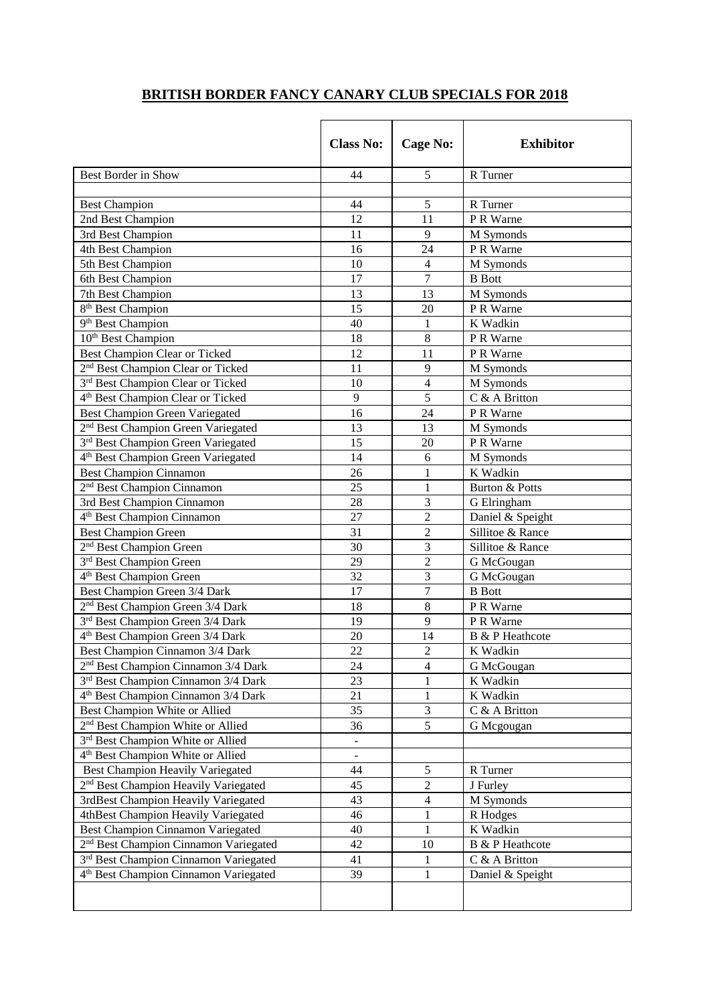## **BRITISH BORDER FANCY CANARY CLUB SPECIALS FOR 2018**

|                                                   | <b>Class No:</b> | <b>Cage No:</b> | <b>Exhibitor</b>       |
|---------------------------------------------------|------------------|-----------------|------------------------|
| Best Border in Show                               | 44               | 5               | R Turner               |
|                                                   |                  |                 |                        |
| <b>Best Champion</b>                              | 44               | 5               | R Turner               |
| 2nd Best Champion                                 | 12               | 11              | P R Warne              |
| 3rd Best Champion                                 | 11               | 9               | M Symonds              |
| 4th Best Champion                                 | 16               | 24              | P R Warne              |
| 5th Best Champion                                 | 10               | $\overline{4}$  | M Symonds              |
| 6th Best Champion                                 | 17               | $\overline{7}$  | <b>B</b> Bott          |
| 7th Best Champion                                 | 13               | 13              | M Symonds              |
| 8 <sup>th</sup> Best Champion                     | 15               | 20              | P R Warne              |
| 9 <sup>th</sup> Best Champion                     | 40               | $\mathbf{1}$    | K Wadkin               |
| 10 <sup>th</sup> Best Champion                    | 18               | $\,8\,$         | P R Warne              |
| Best Champion Clear or Ticked                     | 12               | 11              | P R Warne              |
| 2 <sup>nd</sup> Best Champion Clear or Ticked     | 11               | 9               | M Symonds              |
| 3rd Best Champion Clear or Ticked                 | 10               | $\overline{4}$  | M Symonds              |
| 4 <sup>th</sup> Best Champion Clear or Ticked     | 9                | 5               | C & A Britton          |
| <b>Best Champion Green Variegated</b>             | 16               | 24              | P R Warne              |
| 2 <sup>nd</sup> Best Champion Green Variegated    | 13               | 13              | M Symonds              |
| 3 <sup>rd</sup> Best Champion Green Variegated    | 15               | 20              | P R Warne              |
| 4 <sup>th</sup> Best Champion Green Variegated    | 14               | 6               | M Symonds              |
| <b>Best Champion Cinnamon</b>                     | 26               | 1               | K Wadkin               |
| 2 <sup>nd</sup> Best Champion Cinnamon            | 25               | $\mathbf{1}$    | Burton & Potts         |
| 3rd Best Champion Cinnamon                        | 28               | 3               | G Elringham            |
| 4 <sup>th</sup> Best Champion Cinnamon            | 27               | $\overline{2}$  | Daniel & Speight       |
| <b>Best Champion Green</b>                        | 31               | $\overline{2}$  | Sillitoe & Rance       |
| 2 <sup>nd</sup> Best Champion Green               | 30               | 3               | Sillitoe & Rance       |
| 3 <sup>rd</sup> Best Champion Green               | 29               | $\overline{c}$  | G McGougan             |
| 4 <sup>th</sup> Best Champion Green               | 32               | 3               | G McGougan             |
| Best Champion Green 3/4 Dark                      | 17               | $\overline{7}$  | <b>B</b> Bott          |
| 2 <sup>nd</sup> Best Champion Green 3/4 Dark      | 18               | 8               | P R Warne              |
| 3rd Best Champion Green 3/4 Dark                  | 19               | 9               | P R Warne              |
| 4 <sup>th</sup> Best Champion Green 3/4 Dark      | 20               | 14              | B & P Heathcote        |
| Best Champion Cinnamon 3/4 Dark                   | 22               | $\overline{c}$  | K Wadkin               |
| 2 <sup>nd</sup> Best Champion Cinnamon 3/4 Dark   | 24               | $\overline{4}$  | G McGougan             |
| 3rd Best Champion Cinnamon 3/4 Dark               | 23               | 1               | K Wadkin               |
| 4 <sup>th</sup> Best Champion Cinnamon 3/4 Dark   | 21               | $\mathbf{1}$    | K Wadkin               |
| Best Champion White or Allied                     | 35               | 3               | C & A Britton          |
| 2 <sup>nd</sup> Best Champion White or Allied     | 36               | 5               | G Mcgougan             |
| 3rd Best Champion White or Allied                 | $\blacksquare$   |                 |                        |
| 4 <sup>th</sup> Best Champion White or Allied     | -                |                 |                        |
| <b>Best Champion Heavily Variegated</b>           | 44               | 5               | R Turner               |
| 2 <sup>nd</sup> Best Champion Heavily Variegated  | 45               | $\sqrt{2}$      | J Furley               |
| 3rdBest Champion Heavily Variegated               | 43               | $\overline{4}$  | M Symonds              |
| 4thBest Champion Heavily Variegated               | 46               | 1               | R Hodges               |
| Best Champion Cinnamon Variegated                 | 40               | 1               | K Wadkin               |
| 2 <sup>nd</sup> Best Champion Cinnamon Variegated | 42               | 10              | <b>B</b> & P Heathcote |
| <sup>3rd</sup> Best Champion Cinnamon Variegated  | 41               | 1               | C & A Britton          |
| 4 <sup>th</sup> Best Champion Cinnamon Variegated | 39               | $\mathbf{1}$    | Daniel & Speight       |
|                                                   |                  |                 |                        |
|                                                   |                  |                 |                        |